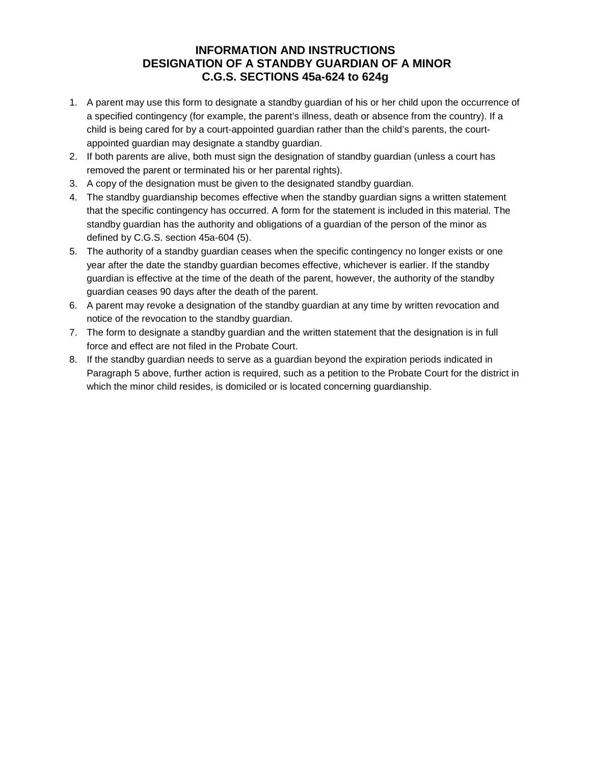## **INFORMATION AND INSTRUCTIONS DESIGNATION OF A STANDBY GUARDIAN OF A MINOR C.G.S. SECTIONS 45a-624 to 624g**

- 1. A parent may use this form to designate a standby guardian of his or her child upon the occurrence of a specified contingency (for example, the parent's illness, death or absence from the country). If a child is being cared for by a court-appointed guardian rather than the child's parents, the courtappointed guardian may designate a standby guardian.
- 2. If both parents are alive, both must sign the designation of standby guardian (unless a court has removed the parent or terminated his or her parental rights).
- 3. A copy of the designation must be given to the designated standby guardian.
- 4. The standby guardianship becomes effective when the standby guardian signs a written statement that the specific contingency has occurred. A form for the statement is included in this material. The standby guardian has the authority and obligations of a guardian of the person of the minor as defined by C.G.S. section 45a-604 (5).
- 5. The authority of a standby guardian ceases when the specific contingency no longer exists or one year after the date the standby guardian becomes effective, whichever is earlier. If the standby guardian is effective at the time of the death of the parent, however, the authority of the standby guardian ceases 90 days after the death of the parent.
- 6. A parent may revoke a designation of the standby guardian at any time by written revocation and notice of the revocation to the standby guardian.
- 7. The form to designate a standby guardian and the written statement that the designation is in full force and effect are not filed in the Probate Court.
- 8. If the standby guardian needs to serve as a guardian beyond the expiration periods indicated in Paragraph 5 above, further action is required, such as a petition to the Probate Court for the district in which the minor child resides, is domiciled or is located concerning guardianship.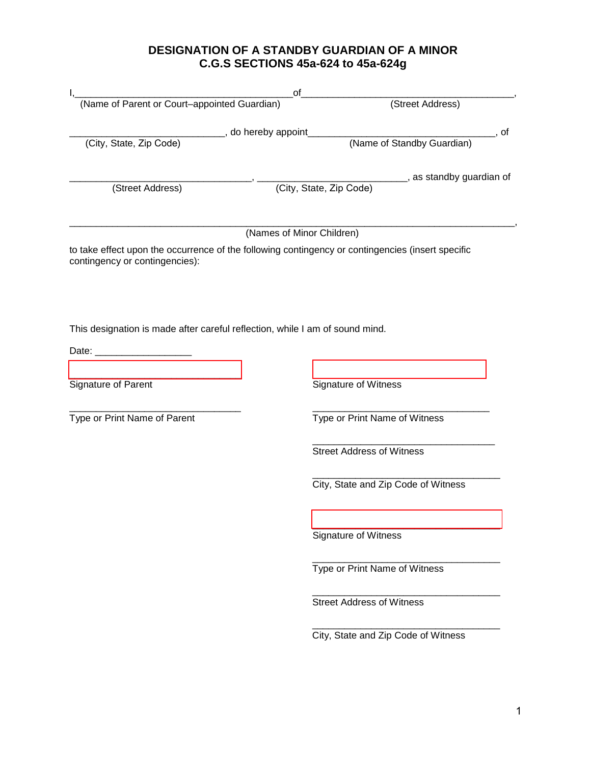## **DESIGNATION OF A STANDBY GUARDIAN OF A MINOR C.G.S SECTIONS 45a-624 to 45a-624g**

| (Name of Parent or Court-appointed Guardian)                                 | οf                            | (Street Address)                                                                                  |
|------------------------------------------------------------------------------|-------------------------------|---------------------------------------------------------------------------------------------------|
|                                                                              |                               |                                                                                                   |
| (City, State, Zip Code)                                                      | _________, do hereby appoint_ | _____________, of<br>(Name of Standby Guardian)                                                   |
|                                                                              |                               |                                                                                                   |
|                                                                              |                               | _______, as standby guardian of                                                                   |
| (Street Address)                                                             |                               | (City, State, Zip Code)                                                                           |
|                                                                              |                               |                                                                                                   |
|                                                                              | (Names of Minor Children)     |                                                                                                   |
|                                                                              |                               | to take effect upon the occurrence of the following contingency or contingencies (insert specific |
| contingency or contingencies):                                               |                               |                                                                                                   |
|                                                                              |                               |                                                                                                   |
|                                                                              |                               |                                                                                                   |
|                                                                              |                               |                                                                                                   |
| This designation is made after careful reflection, while I am of sound mind. |                               |                                                                                                   |
|                                                                              |                               |                                                                                                   |
|                                                                              |                               |                                                                                                   |
| Signature of Parent                                                          |                               | Signature of Witness                                                                              |
|                                                                              |                               |                                                                                                   |
| Type or Print Name of Parent                                                 |                               | Type or Print Name of Witness                                                                     |
|                                                                              |                               |                                                                                                   |
|                                                                              |                               | <b>Street Address of Witness</b>                                                                  |
|                                                                              |                               |                                                                                                   |
|                                                                              |                               | City, State and Zip Code of Witness                                                               |
|                                                                              |                               |                                                                                                   |
|                                                                              |                               |                                                                                                   |
|                                                                              |                               | Signature of Witness                                                                              |
|                                                                              |                               |                                                                                                   |
|                                                                              |                               | Type or Print Name of Witness                                                                     |
|                                                                              |                               |                                                                                                   |
|                                                                              |                               | <b>Street Address of Witness</b>                                                                  |
|                                                                              |                               | City, State and Zip Code of Witness                                                               |
|                                                                              |                               |                                                                                                   |
|                                                                              |                               |                                                                                                   |
|                                                                              |                               |                                                                                                   |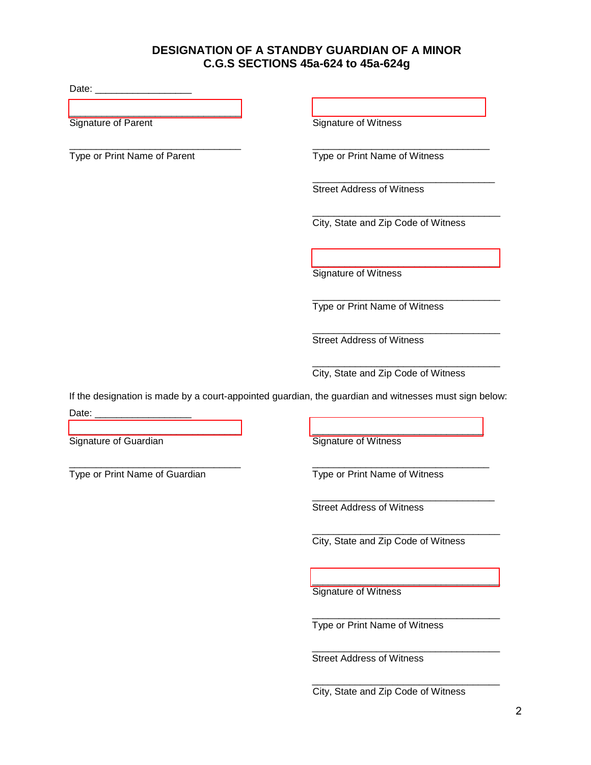## **DESIGNATION OF A STANDBY GUARDIAN OF A MINOR C.G.S SECTIONS 45a-624 to 45a-624g**

Date: \_\_\_\_\_\_\_\_\_\_\_\_\_\_\_\_\_\_

[\\_\\_\\_\\_\\_\\_\\_\\_\\_\\_\\_\\_\\_\\_\\_\\_\\_\\_\\_\\_\\_\\_\\_\\_\\_\\_\\_\\_\\_\\_\\_\\_ \\_\\_\\_\\_\\_\\_\\_\\_\\_\\_\\_\\_\\_\\_\\_\\_\\_\\_\\_\\_\\_\\_\\_\\_\\_\\_\\_\\_\\_\\_\\_\\_](https://esign.com)

\_\_\_\_\_\_\_\_\_\_\_\_\_\_\_\_\_\_\_\_\_\_\_\_\_\_\_\_\_\_\_\_ \_\_\_\_\_\_\_\_\_\_\_\_\_\_\_\_\_\_\_\_\_\_\_\_\_\_\_\_\_\_\_\_\_

Signature of Parent Signature of Witness

Type or Print Name of Parent Type or Print Name of Witness

\_\_\_\_\_\_\_\_\_\_\_\_\_\_\_\_\_\_\_\_\_\_\_\_\_\_\_\_\_\_\_\_\_\_ Street Address of Witness

\_\_\_\_\_\_\_\_\_\_\_\_\_\_\_\_\_\_\_\_\_\_\_\_\_\_\_\_\_\_\_\_\_\_\_ City, State and Zip Code of Witness

[\\_\\_\\_\\_\\_\\_\\_\\_\\_\\_\\_\\_\\_\\_\\_\\_\\_\\_\\_\\_\\_\\_\\_\\_\\_\\_\\_\\_\\_\\_\\_\\_\\_\\_\\_](https://esign.com) Signature of Witness

\_\_\_\_\_\_\_\_\_\_\_\_\_\_\_\_\_\_\_\_\_\_\_\_\_\_\_\_\_\_\_\_\_\_\_ Type or Print Name of Witness

\_\_\_\_\_\_\_\_\_\_\_\_\_\_\_\_\_\_\_\_\_\_\_\_\_\_\_\_\_\_\_\_\_\_\_ Street Address of Witness

\_\_\_\_\_\_\_\_\_\_\_\_\_\_\_\_\_\_\_\_\_\_\_\_\_\_\_\_\_\_\_\_\_\_\_ City, State and Zip Code of Witness

If the designation is made by a court-appointed guardian, the guardian and witnesses must sign below: Date: \_\_\_\_\_\_\_\_\_\_\_\_\_\_\_\_\_\_

[\\_\\_\\_\\_\\_\\_\\_\\_\\_\\_\\_\\_\\_\\_\\_\\_\\_\\_\\_\\_\\_\\_\\_\\_\\_\\_\\_\\_\\_\\_\\_\\_ \\_\\_\\_\\_\\_\\_\\_\\_\\_\\_\\_\\_\\_\\_\\_\\_\\_\\_\\_\\_\\_\\_\\_\\_\\_\\_\\_\\_\\_\\_\\_\\_](https://esign.com) Signature of Guardian **Signature of Witness** 

\_\_\_\_\_\_\_\_\_\_\_\_\_\_\_\_\_\_\_\_\_\_\_\_\_\_\_\_\_\_\_\_ \_\_\_\_\_\_\_\_\_\_\_\_\_\_\_\_\_\_\_\_\_\_\_\_\_\_\_\_\_\_\_\_\_ Type or Print Name of Guardian Type or Print Name of Witness

> \_\_\_\_\_\_\_\_\_\_\_\_\_\_\_\_\_\_\_\_\_\_\_\_\_\_\_\_\_\_\_\_\_\_ Street Address of Witness

\_\_\_\_\_\_\_\_\_\_\_\_\_\_\_\_\_\_\_\_\_\_\_\_\_\_\_\_\_\_\_\_\_\_\_ City, State and Zip Code of Witness

[\\_\\_\\_\\_\\_\\_\\_\\_\\_\\_\\_\\_\\_\\_\\_\\_\\_\\_\\_\\_\\_\\_\\_\\_\\_\\_\\_\\_\\_\\_\\_\\_\\_\\_\\_](https://esign.com) Signature of Witness

\_\_\_\_\_\_\_\_\_\_\_\_\_\_\_\_\_\_\_\_\_\_\_\_\_\_\_\_\_\_\_\_\_\_\_ Type or Print Name of Witness

\_\_\_\_\_\_\_\_\_\_\_\_\_\_\_\_\_\_\_\_\_\_\_\_\_\_\_\_\_\_\_\_\_\_\_ Street Address of Witness

\_\_\_\_\_\_\_\_\_\_\_\_\_\_\_\_\_\_\_\_\_\_\_\_\_\_\_\_\_\_\_\_\_\_\_ City, State and Zip Code of Witness